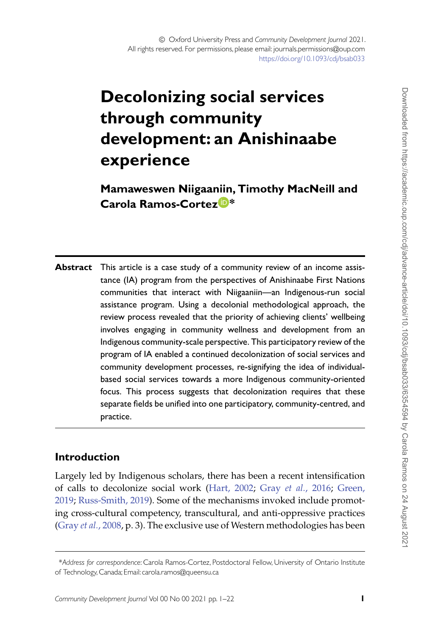# **Decolonizing social services through community development: an Anishinaabe experience**

**Mamaweswen Niigaaniin, Timothy MacNeill and Carola Ramos-Corte[z](http://orcid.org/0000-0001-6556-5430) \***

**Abstract** This article is a case study of a community review of an income assistance (IA) program from the perspectives of Anishinaabe First Nations communities that interact with Niigaaniin**—**an Indigenous-run social assistance program. Using a decolonial methodological approach, the review process revealed that the priority of achieving clients' wellbeing involves engaging in community wellness and development from an Indigenous community-scale perspective. This participatory review of the program of IA enabled a continued decolonization of social services and community development processes, re-signifying the idea of individualbased social services towards a more Indigenous community-oriented focus. This process suggests that decolonization requires that these separate fields be unified into one participatory, community-centred, and practice.

## **Introduction**

Largely led by Indigenous scholars, there has been a recent intensification of calls to decolonize social work [\(Hart, 2002;](#page-19-0) Gray *et al.*[, 2016;](#page-19-1) Green, 2019; [Russ-Smith, 2019\). Some of the mechanisms invoked include promot](#page-19-2)ing cross-cultural competency, transcultural, and anti-oppressive practices (Gray *et al.*[, 2008,](#page-19-3) p. 3). The exclusive use of Western methodologies has been

<sup>\*</sup>*Address for correspondence*: Carola Ramos-Cortez, Postdoctoral Fellow, University of Ontario Institute of Technology, Canada; Email: carola.ramos@queensu.ca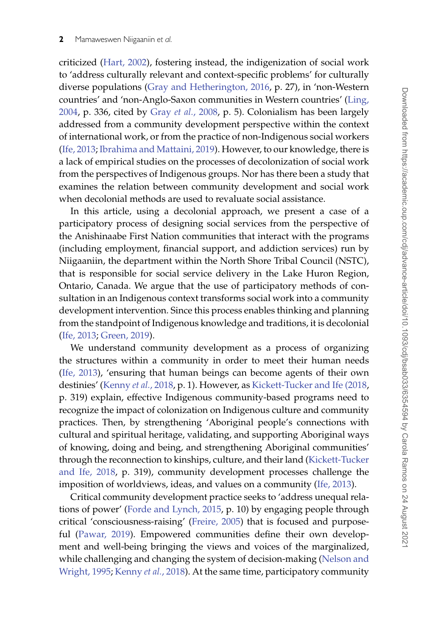criticized [\(Hart, 2002\)](#page-19-0), fostering instead, the indigenization of social work to 'address culturally relevant and context-specific problems' for culturally diverse populations [\(Gray and Hetherington, 2016,](#page-19-4) p. 27), in 'non-Western countries' and 'non-Anglo-Saxon communities in Western countries' (Ling, 2004, p. 336, cited by Gray *et al.*[, 2008,](#page-19-3) p. 5). Colonialism has been largely addressed from a community development perspective within the context of international work, or from the practice of non-Indigenous social workers [\(Ife, 2013;](#page-19-5) [Ibrahima and Mattaini, 2019\)](#page-19-6). However, to our knowledge, there is a lack of empirical studies on the processes of decolonization of social work from the perspectives of Indigenous groups. Nor has there been a study that examines the relation between community development and social work when decolonial methods are used to revaluate social assistance.

In this article, using a decolonial approach, we present a case of a participatory process of designing social services from the perspective of the Anishinaabe First Nation communities that interact with the programs (including employment, financial support, and addiction services) run by Niigaaniin, the department within the North Shore Tribal Council (NSTC), that is responsible for social service delivery in the Lake Huron Region, Ontario, Canada. We argue that the use of participatory methods of consultation in an Indigenous context transforms social work into a community development intervention. Since this process enables thinking and planning from the standpoint of Indigenous knowledge and traditions, it is decolonial [\(Ife, 2013;](#page-19-5) [Green, 2019\)](#page-19-2).

We understand community development as a process of organizing the structures within a community in order to meet their human needs [\(Ife, 2013\)](#page-19-5), 'ensuring that human beings can become agents of their own destinies' [\(Kenny](#page-20-1) *et al.*, 2018, p. 1). However, as [Kickett-Tucker and Ife \(2018,](#page-20-2) p. 319) explain, effective Indigenous community-based programs need to recognize the impact of colonization on Indigenous culture and community practices. Then, by strengthening 'Aboriginal people's connections with cultural and spiritual heritage, validating, and supporting Aboriginal ways of knowing, doing and being, and strengthening Aboriginal communities' [through the reconnection to kinships, culture, and their land \(Kickett-Tucker](#page-20-2) and Ife, 2018, p. 319), community development processes challenge the imposition of worldviews, ideas, and values on a community [\(Ife, 2013\)](#page-19-5).

Critical community development practice seeks to 'address unequal relations of power' [\(Forde and Lynch, 2015,](#page-19-7) p. 10) by engaging people through critical 'consciousness-raising' [\(Freire, 2005\)](#page-19-8) that is focused and purposeful [\(Pawar, 2019\)](#page-20-3). Empowered communities define their own development and well-being bringing the views and voices of the marginalized, [while challenging and changing the system of decision-making \(Nelson and](#page-20-4) Wright, 1995; [Kenny](#page-20-1) *et al.*, 2018). At the same time, participatory community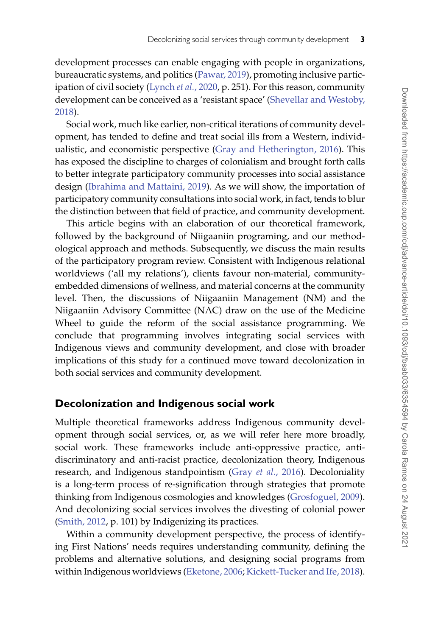development processes can enable engaging with people in organizations, bureaucratic systems, and politics [\(Pawar, 2019\)](#page-20-3), promoting inclusive participation of civil society [\(Lynch](#page-20-5) *et al.*, 2020, p. 251). For this reason, community [development can be conceived as a 'resistant space' \(Shevellar and Westoby,](#page-20-6) 2018).

Social work, much like earlier, non-critical iterations of community development, has tended to define and treat social ills from a Western, individualistic, and economistic perspective [\(Gray and Hetherington, 2016\)](#page-19-4). This has exposed the discipline to charges of colonialism and brought forth calls to better integrate participatory community processes into social assistance design [\(Ibrahima and Mattaini, 2019\)](#page-19-6). As we will show, the importation of participatory community consultations into social work, in fact, tends to blur the distinction between that field of practice, and community development.

This article begins with an elaboration of our theoretical framework, followed by the background of Niigaaniin programing, and our methodological approach and methods. Subsequently, we discuss the main results of the participatory program review. Consistent with Indigenous relational worldviews ('all my relations'), clients favour non-material, communityembedded dimensions of wellness, and material concerns at the community level. Then, the discussions of Niigaaniin Management (NM) and the Niigaaniin Advisory Committee (NAC) draw on the use of the Medicine Wheel to guide the reform of the social assistance programming. We conclude that programming involves integrating social services with Indigenous views and community development, and close with broader implications of this study for a continued move toward decolonization in both social services and community development.

## **Decolonization and Indigenous social work**

Multiple theoretical frameworks address Indigenous community development through social services, or, as we will refer here more broadly, social work. These frameworks include anti-oppressive practice, antidiscriminatory and anti-racist practice, decolonization theory, Indigenous research, and Indigenous standpointism (Gray *et al.*[, 2016\)](#page-19-1). Decoloniality is a long-term process of re-signification through strategies that promote thinking from Indigenous cosmologies and knowledges [\(Grosfoguel, 2009\)](#page-19-9). And decolonizing social services involves the divesting of colonial power [\(Smith, 2012,](#page-21-0) p. 101) by Indigenizing its practices.

Within a community development perspective, the process of identifying First Nations' needs requires understanding community, defining the problems and alternative solutions, and designing social programs from within Indigenous worldviews [\(Eketone, 2006;](#page-19-10) [Kickett-Tucker and Ife, 2018\)](#page-20-2).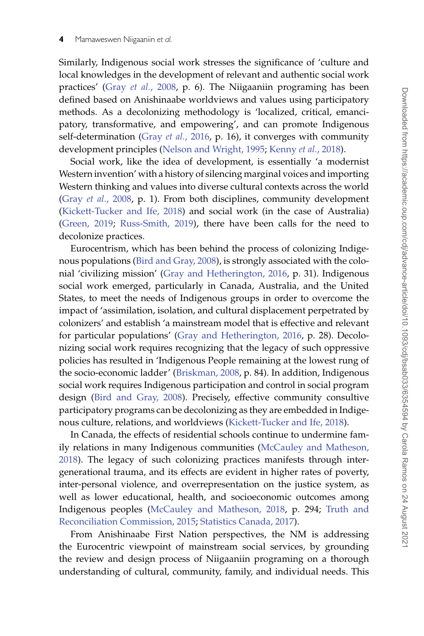Similarly, Indigenous social work stresses the significance of 'culture and local knowledges in the development of relevant and authentic social work practices' (Gray *et al.*[, 2008,](#page-19-3) p. 6). The Niigaaniin programing has been defined based on Anishinaabe worldviews and values using participatory methods. As a decolonizing methodology is 'localized, critical, emancipatory, transformative, and empowering', and can promote Indigenous self-determination (Gray *et al.*[, 2016,](#page-19-1) p. 16), it converges with community development principles [\(Nelson and Wright, 1995;](#page-20-4) [Kenny](#page-20-1) *et al.*, 2018).

Social work, like the idea of development, is essentially 'a modernist Western invention' with a history of silencing marginal voices and importing Western thinking and values into diverse cultural contexts across the world (Gray *et al.*[, 2008,](#page-19-3) p. 1). From both disciplines, community development [\(Kickett-Tucker and Ife, 2018\)](#page-20-2) and social work (in the case of Australia) [\(Green, 2019;](#page-19-2) [Russ-Smith, 2019\)](#page-20-0), there have been calls for the need to decolonize practices.

Eurocentrism, which has been behind the process of colonizing Indigenous populations [\(Bird and Gray, 2008\)](#page-18-0), is strongly associated with the colonial 'civilizing mission' [\(Gray and Hetherington, 2016,](#page-19-4) p. 31). Indigenous social work emerged, particularly in Canada, Australia, and the United States, to meet the needs of Indigenous groups in order to overcome the impact of 'assimilation, isolation, and cultural displacement perpetrated by colonizers' and establish 'a mainstream model that is effective and relevant for particular populations' [\(Gray and Hetherington, 2016,](#page-19-4) p. 28). Decolonizing social work requires recognizing that the legacy of such oppressive policies has resulted in 'Indigenous People remaining at the lowest rung of the socio-economic ladder' [\(Briskman, 2008,](#page-18-1) p. 84). In addition, Indigenous social work requires Indigenous participation and control in social program design [\(Bird and Gray, 2008\)](#page-18-0). Precisely, effective community consultive participatory programs can be decolonizing as they are embedded in Indigenous culture, relations, and worldviews [\(Kickett-Tucker and Ife, 2018\)](#page-20-2).

In Canada, the effects of residential schools continue to undermine family relations in many Indigenous communities (McCauley and Matheson, [2018\). The legacy of such colonizing practices manifests through inter](#page-20-7)generational trauma, and its effects are evident in higher rates of poverty, inter-personal violence, and overrepresentation on the justice system, as well as lower educational, health, and socioeconomic outcomes among [Indigenous peoples \(](#page-21-1)[McCauley and Matheson, 2018](#page-20-7)[, p. 294;](#page-21-1) Truth and Reconciliation Commission, 2015; [Statistics Canada, 2017\)](#page-21-2).

From Anishinaabe First Nation perspectives, the NM is addressing the Eurocentric viewpoint of mainstream social services, by grounding the review and design process of Niigaaniin programing on a thorough understanding of cultural, community, family, and individual needs. This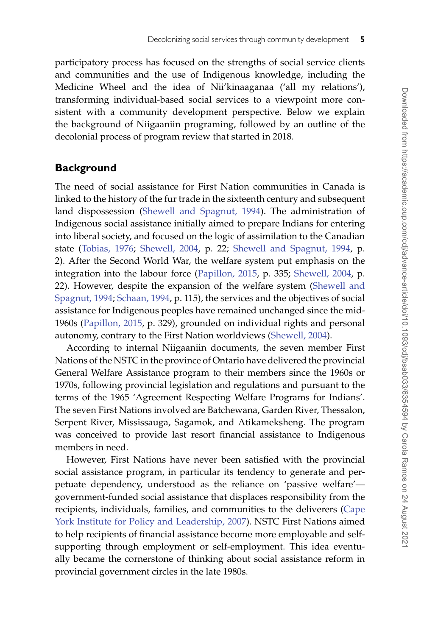participatory process has focused on the strengths of social service clients and communities and the use of Indigenous knowledge, including the Medicine Wheel and the idea of Nii'kinaaganaa ('all my relations'), transforming individual-based social services to a viewpoint more consistent with a community development perspective. Below we explain the background of Niigaaniin programing, followed by an outline of the decolonial process of program review that started in 2018.

## **Background**

The need of social assistance for First Nation communities in Canada is linked to the history of the fur trade in the sixteenth century and subsequent land dispossession [\(Shewell and Spagnut, 1994\)](#page-21-3). The administration of Indigenous social assistance initially aimed to prepare Indians for entering into liberal society, and focused on the logic of assimilation to the Canadian state [\(Tobias, 1976;](#page-21-4) [Shewell, 2004,](#page-20-8) p. 22; [Shewell and Spagnut, 1994,](#page-21-3) p. 2). After the Second World War, the welfare system put emphasis on the integration into the labour force [\(Papillon, 2015,](#page-20-9) p. 335; [Shewell, 2004,](#page-20-8) p. [22\). However, despite the expansion of the welfare system \(Shewell and](#page-21-3) Spagnut, 1994; Schaan, 1994, p. 115), the services and the objectives of social assistance for Indigenous peoples have remained unchanged since the mid-1960s [\(Papillon, 2015,](#page-20-9) p. 329), grounded on individual rights and personal autonomy, contrary to the First Nation worldviews [\(Shewell, 2004\)](#page-20-8).

According to internal Niigaaniin documents, the seven member First Nations of the NSTC in the province of Ontario have delivered the provincial General Welfare Assistance program to their members since the 1960s or 1970s, following provincial legislation and regulations and pursuant to the terms of the 1965 'Agreement Respecting Welfare Programs for Indians'. The seven First Nations involved are Batchewana, Garden River, Thessalon, Serpent River, Mississauga, Sagamok, and Atikameksheng. The program was conceived to provide last resort financial assistance to Indigenous members in need.

However, First Nations have never been satisfied with the provincial social assistance program, in particular its tendency to generate and perpetuate dependency, understood as the reliance on 'passive welfare' government-funded social assistance that displaces responsibility from the recipients, individuals, families, and communities to the deliverers (Cape [York Institute for Policy and Leadership, 2007\). NSTC First Nations aimed](#page-19-11) to help recipients of financial assistance become more employable and selfsupporting through employment or self-employment. This idea eventually became the cornerstone of thinking about social assistance reform in provincial government circles in the late 1980s.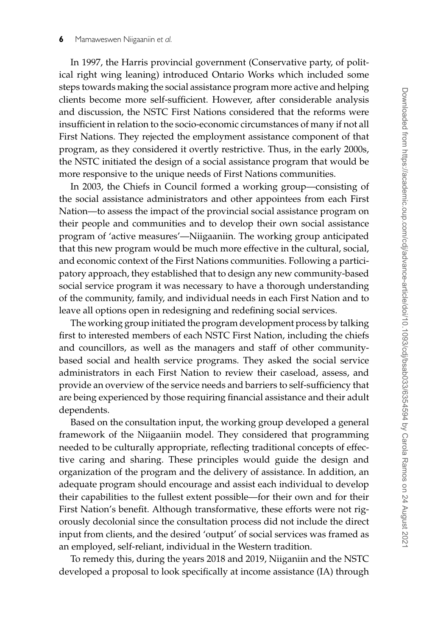In 1997, the Harris provincial government (Conservative party, of political right wing leaning) introduced Ontario Works which included some steps towards making the social assistance program more active and helping clients become more self-sufficient. However, after considerable analysis and discussion, the NSTC First Nations considered that the reforms were insufficient in relation to the socio-economic circumstances of many if not all First Nations. They rejected the employment assistance component of that program, as they considered it overtly restrictive. Thus, in the early 2000s, the NSTC initiated the design of a social assistance program that would be more responsive to the unique needs of First Nations communities.

In 2003, the Chiefs in Council formed a working group—consisting of the social assistance administrators and other appointees from each First Nation—to assess the impact of the provincial social assistance program on their people and communities and to develop their own social assistance program of 'active measures'—Niigaaniin. The working group anticipated that this new program would be much more effective in the cultural, social, and economic context of the First Nations communities. Following a participatory approach, they established that to design any new community-based social service program it was necessary to have a thorough understanding of the community, family, and individual needs in each First Nation and to leave all options open in redesigning and redefining social services.

The working group initiated the program development process by talking first to interested members of each NSTC First Nation, including the chiefs and councillors, as well as the managers and staff of other communitybased social and health service programs. They asked the social service administrators in each First Nation to review their caseload, assess, and provide an overview of the service needs and barriers to self-sufficiency that are being experienced by those requiring financial assistance and their adult dependents.

Based on the consultation input, the working group developed a general framework of the Niigaaniin model. They considered that programming needed to be culturally appropriate, reflecting traditional concepts of effective caring and sharing. These principles would guide the design and organization of the program and the delivery of assistance. In addition, an adequate program should encourage and assist each individual to develop their capabilities to the fullest extent possible—for their own and for their First Nation's benefit. Although transformative, these efforts were not rigorously decolonial since the consultation process did not include the direct input from clients, and the desired 'output' of social services was framed as an employed, self-reliant, individual in the Western tradition.

To remedy this, during the years 2018 and 2019, Niiganiin and the NSTC developed a proposal to look specifically at income assistance (IA) through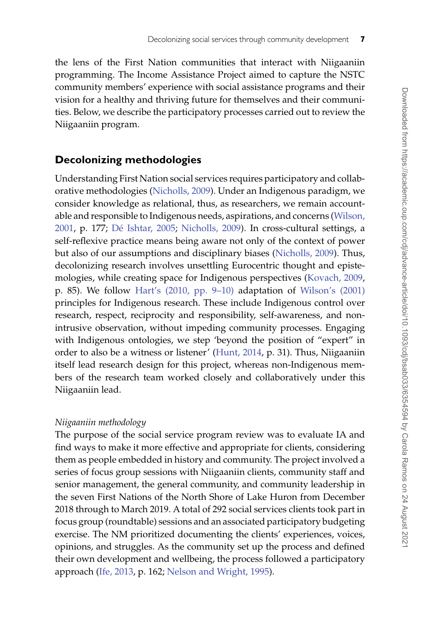the lens of the First Nation communities that interact with Niigaaniin programming. The Income Assistance Project aimed to capture the NSTC community members' experience with social assistance programs and their vision for a healthy and thriving future for themselves and their communities. Below, we describe the participatory processes carried out to review the Niigaaniin program.

## **Decolonizing methodologies**

Understanding First Nation social services requires participatory and collaborative methodologies [\(Nicholls, 2009\)](#page-20-10). Under an Indigenous paradigm, we consider knowledge as relational, thus, as researchers, we remain account[able and responsible to Indigenous needs, aspirations, and concerns \(Wilson,](#page-21-5) 2001, p. 177; [Dé Ishtar, 2005;](#page-19-12) [Nicholls, 2009\)](#page-20-10). In cross-cultural settings, a self-reflexive practice means being aware not only of the context of power but also of our assumptions and disciplinary biases [\(Nicholls, 2009\)](#page-20-10). Thus, decolonizing research involves unsettling Eurocentric thought and epistemologies, while creating space for Indigenous perspectives [\(Kovach, 2009,](#page-20-11) p. 85). We follow [Hart's \(2010, pp. 9–10\)](#page-19-13) adaptation of [Wilson's \(2001\)](#page-21-5) principles for Indigenous research. These include Indigenous control over research, respect, reciprocity and responsibility, self-awareness, and nonintrusive observation, without impeding community processes. Engaging with Indigenous ontologies, we step 'beyond the position of "expert" in order to also be a witness or listener' [\(Hunt, 2014,](#page-19-14) p. 31). Thus, Niigaaniin itself lead research design for this project, whereas non-Indigenous members of the research team worked closely and collaboratively under this Niigaaniin lead.

#### *Niigaaniin methodology*

The purpose of the social service program review was to evaluate IA and find ways to make it more effective and appropriate for clients, considering them as people embedded in history and community. The project involved a series of focus group sessions with Niigaaniin clients, community staff and senior management, the general community, and community leadership in the seven First Nations of the North Shore of Lake Huron from December 2018 through to March 2019. A total of 292 social services clients took part in focus group (roundtable) sessions and an associated participatory budgeting exercise. The NM prioritized documenting the clients' experiences, voices, opinions, and struggles. As the community set up the process and defined their own development and wellbeing, the process followed a participatory approach [\(Ife, 2013,](#page-19-5) p. 162; [Nelson and Wright, 1995\)](#page-20-4).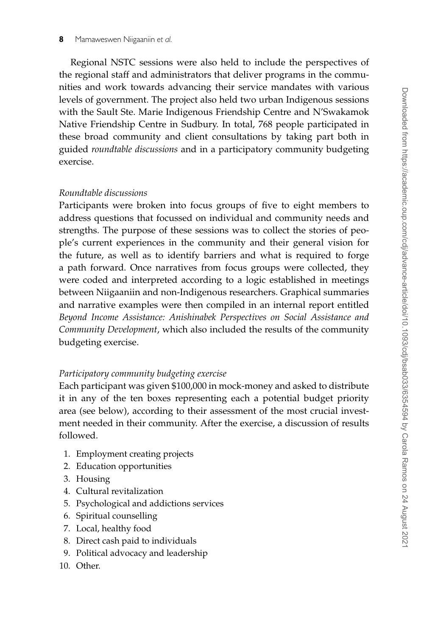Regional NSTC sessions were also held to include the perspectives of the regional staff and administrators that deliver programs in the communities and work towards advancing their service mandates with various levels of government. The project also held two urban Indigenous sessions with the Sault Ste. Marie Indigenous Friendship Centre and N'Swakamok Native Friendship Centre in Sudbury. In total, 768 people participated in these broad community and client consultations by taking part both in guided *roundtable discussions* and in a participatory community budgeting exercise.

#### *Roundtable discussions*

Participants were broken into focus groups of five to eight members to address questions that focussed on individual and community needs and strengths. The purpose of these sessions was to collect the stories of people's current experiences in the community and their general vision for the future, as well as to identify barriers and what is required to forge a path forward. Once narratives from focus groups were collected, they were coded and interpreted according to a logic established in meetings between Niigaaniin and non-Indigenous researchers. Graphical summaries and narrative examples were then compiled in an internal report entitled *Beyond Income Assistance: Anishinabek Perspectives on Social Assistance and Community Development*, which also included the results of the community budgeting exercise.

#### *Participatory community budgeting exercise*

Each participant was given \$100,000 in mock-money and asked to distribute it in any of the ten boxes representing each a potential budget priority area (see below), according to their assessment of the most crucial investment needed in their community. After the exercise, a discussion of results followed.

- 1. Employment creating projects
- 2. Education opportunities
- 3. Housing
- 4. Cultural revitalization
- 5. Psychological and addictions services
- 6. Spiritual counselling
- 7. Local, healthy food
- 8. Direct cash paid to individuals
- 9. Political advocacy and leadership
- 10. Other.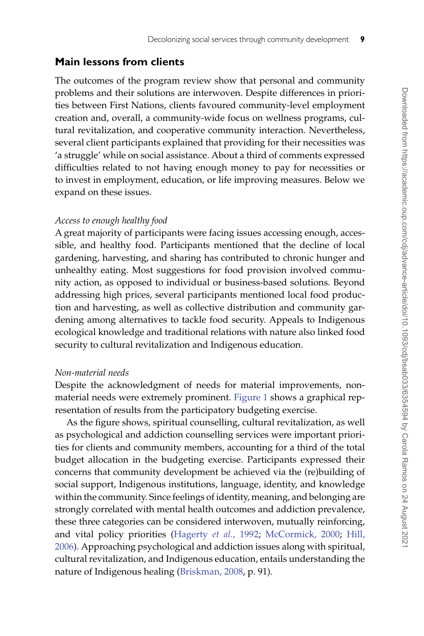## **Main lessons from clients**

The outcomes of the program review show that personal and community problems and their solutions are interwoven. Despite differences in priorities between First Nations, clients favoured community-level employment creation and, overall, a community-wide focus on wellness programs, cultural revitalization, and cooperative community interaction. Nevertheless, several client participants explained that providing for their necessities was 'a struggle' while on social assistance. About a third of comments expressed difficulties related to not having enough money to pay for necessities or to invest in employment, education, or life improving measures. Below we expand on these issues.

### *Access to enough healthy food*

A great majority of participants were facing issues accessing enough, accessible, and healthy food. Participants mentioned that the decline of local gardening, harvesting, and sharing has contributed to chronic hunger and unhealthy eating. Most suggestions for food provision involved community action, as opposed to individual or business-based solutions. Beyond addressing high prices, several participants mentioned local food production and harvesting, as well as collective distribution and community gardening among alternatives to tackle food security. Appeals to Indigenous ecological knowledge and traditional relations with nature also linked food security to cultural revitalization and Indigenous education.

#### *Non-material needs*

Despite the acknowledgment of needs for material improvements, nonmaterial needs were extremely prominent. [Figure 1](#page-9-0) shows a graphical representation of results from the participatory budgeting exercise.

As the figure shows, spiritual counselling, cultural revitalization, as well as psychological and addiction counselling services were important priorities for clients and community members, accounting for a third of the total budget allocation in the budgeting exercise. Participants expressed their concerns that community development be achieved via the (re)building of social support, Indigenous institutions, language, identity, and knowledge within the community. Since feelings of identity, meaning, and belonging are strongly correlated with mental health outcomes and addiction prevalence, these three categories can be considered interwoven, mutually reinforcing, and vital policy priorities [\(Hagerty](#page-19-15) *et al.*, 1992; [McCormick, 2000;](#page-20-12) Hill, [2006\). Approaching psychological and addiction issues along with spiritual,](#page-19-16) cultural revitalization, and Indigenous education, entails understanding the nature of Indigenous healing [\(Briskman, 2008,](#page-18-1) p. 91).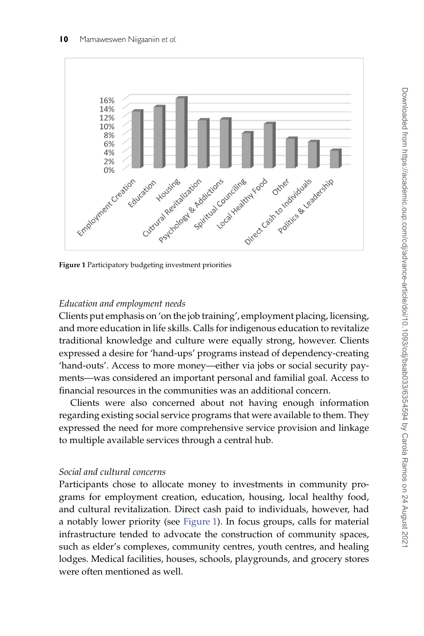

<span id="page-9-0"></span>**Figure 1** Participatory budgeting investment priorities

## *Education and employment needs*

Clients put emphasis on 'on the job training', employment placing, licensing, and more education in life skills. Calls for indigenous education to revitalize traditional knowledge and culture were equally strong, however. Clients expressed a desire for 'hand-ups' programs instead of dependency-creating 'hand-outs'. Access to more money—either via jobs or social security payments—was considered an important personal and familial goal. Access to financial resources in the communities was an additional concern.

Clients were also concerned about not having enough information regarding existing social service programs that were available to them. They expressed the need for more comprehensive service provision and linkage to multiple available services through a central hub.

## *Social and cultural concerns*

Participants chose to allocate money to investments in community programs for employment creation, education, housing, local healthy food, and cultural revitalization. Direct cash paid to individuals, however, had a notably lower priority (see [Figure 1\)](#page-9-0). In focus groups, calls for material infrastructure tended to advocate the construction of community spaces, such as elder's complexes, community centres, youth centres, and healing lodges. Medical facilities, houses, schools, playgrounds, and grocery stores were often mentioned as well.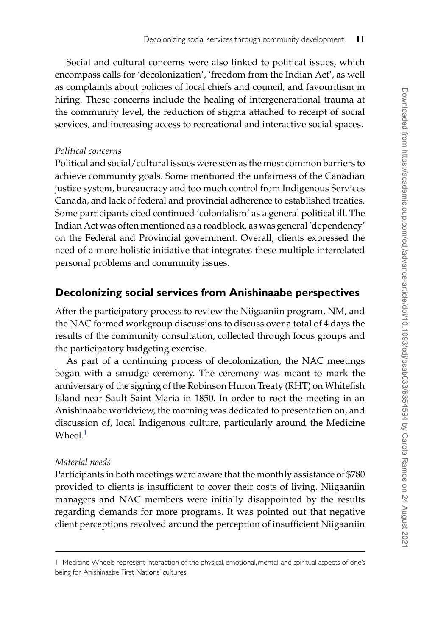Social and cultural concerns were also linked to political issues, which encompass calls for 'decolonization', 'freedom from the Indian Act', as well as complaints about policies of local chiefs and council, and favouritism in hiring. These concerns include the healing of intergenerational trauma at the community level, the reduction of stigma attached to receipt of social services, and increasing access to recreational and interactive social spaces.

## *Political concerns*

Political and social/cultural issues were seen as the most common barriers to achieve community goals. Some mentioned the unfairness of the Canadian justice system, bureaucracy and too much control from Indigenous Services Canada, and lack of federal and provincial adherence to established treaties. Some participants cited continued 'colonialism' as a general political ill. The Indian Act was often mentioned as a roadblock, as was general 'dependency' on the Federal and Provincial government. Overall, clients expressed the need of a more holistic initiative that integrates these multiple interrelated personal problems and community issues.

## **Decolonizing social services from Anishinaabe perspectives**

After the participatory process to review the Niigaaniin program, NM, and the NAC formed workgroup discussions to discuss over a total of 4 days the results of the community consultation, collected through focus groups and the participatory budgeting exercise.

As part of a continuing process of decolonization, the NAC meetings began with a smudge ceremony. The ceremony was meant to mark the anniversary of the signing of the Robinson Huron Treaty (RHT) on Whitefish Island near Sault Saint Maria in 1850. In order to root the meeting in an Anishinaabe worldview, the morning was dedicated to presentation on, and discussion of, local Indigenous culture, particularly around the Medicine Wheel $1$ 

## *Material needs*

Participants in both meetings were aware that the monthly assistance of \$780 provided to clients is insufficient to cover their costs of living. Niigaaniin managers and NAC members were initially disappointed by the results regarding demands for more programs. It was pointed out that negative client perceptions revolved around the perception of insufficient Niigaaniin

<span id="page-10-0"></span><sup>1</sup> Medicine Wheels represent interaction of the physical, emotional, mental, and spiritual aspects of one's being for Anishinaabe First Nations' cultures.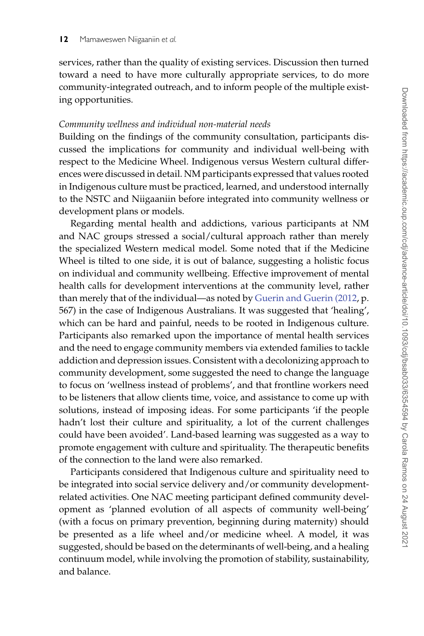services, rather than the quality of existing services. Discussion then turned toward a need to have more culturally appropriate services, to do more community-integrated outreach, and to inform people of the multiple existing opportunities.

#### *Community wellness and individual non-material needs*

Building on the findings of the community consultation, participants discussed the implications for community and individual well-being with respect to the Medicine Wheel. Indigenous versus Western cultural differences were discussed in detail. NM participants expressed that values rooted in Indigenous culture must be practiced, learned, and understood internally to the NSTC and Niigaaniin before integrated into community wellness or development plans or models.

Regarding mental health and addictions, various participants at NM and NAC groups stressed a social/cultural approach rather than merely the specialized Western medical model. Some noted that if the Medicine Wheel is tilted to one side, it is out of balance, suggesting a holistic focus on individual and community wellbeing. Effective improvement of mental health calls for development interventions at the community level, rather than merely that of the individual—as noted by [Guerin and Guerin \(2012,](#page-19-17) p. 567) in the case of Indigenous Australians. It was suggested that 'healing', which can be hard and painful, needs to be rooted in Indigenous culture. Participants also remarked upon the importance of mental health services and the need to engage community members via extended families to tackle addiction and depression issues. Consistent with a decolonizing approach to community development, some suggested the need to change the language to focus on 'wellness instead of problems', and that frontline workers need to be listeners that allow clients time, voice, and assistance to come up with solutions, instead of imposing ideas. For some participants 'if the people hadn't lost their culture and spirituality, a lot of the current challenges could have been avoided'. Land-based learning was suggested as a way to promote engagement with culture and spirituality. The therapeutic benefits of the connection to the land were also remarked.

Participants considered that Indigenous culture and spirituality need to be integrated into social service delivery and/or community developmentrelated activities. One NAC meeting participant defined community development as 'planned evolution of all aspects of community well-being' (with a focus on primary prevention, beginning during maternity) should be presented as a life wheel and/or medicine wheel. A model, it was suggested, should be based on the determinants of well-being, and a healing continuum model, while involving the promotion of stability, sustainability, and balance.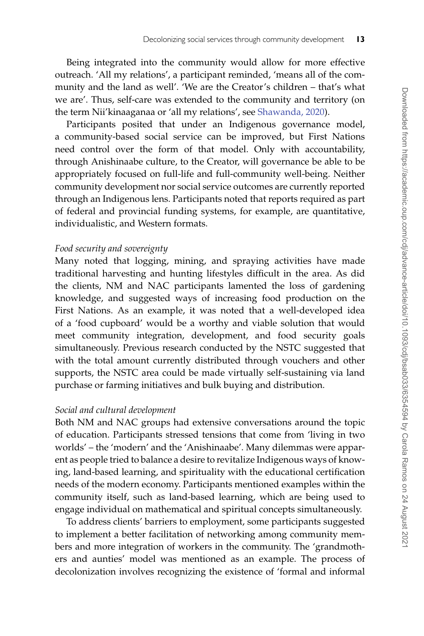Being integrated into the community would allow for more effective outreach. 'All my relations', a participant reminded, 'means all of the community and the land as well'. 'We are the Creator's children – that's what we are'. Thus, self-care was extended to the community and territory (on the term Nii'kinaaganaa or 'all my relations', see [Shawanda, 2020\)](#page-20-13).

Participants posited that under an Indigenous governance model, a community-based social service can be improved, but First Nations need control over the form of that model. Only with accountability, through Anishinaabe culture, to the Creator, will governance be able to be appropriately focused on full-life and full-community well-being. Neither community development nor social service outcomes are currently reported through an Indigenous lens. Participants noted that reports required as part of federal and provincial funding systems, for example, are quantitative, individualistic, and Western formats.

#### *Food security and sovereignty*

Many noted that logging, mining, and spraying activities have made traditional harvesting and hunting lifestyles difficult in the area. As did the clients, NM and NAC participants lamented the loss of gardening knowledge, and suggested ways of increasing food production on the First Nations. As an example, it was noted that a well-developed idea of a 'food cupboard' would be a worthy and viable solution that would meet community integration, development, and food security goals simultaneously. Previous research conducted by the NSTC suggested that with the total amount currently distributed through vouchers and other supports, the NSTC area could be made virtually self-sustaining via land purchase or farming initiatives and bulk buying and distribution.

### *Social and cultural development*

Both NM and NAC groups had extensive conversations around the topic of education. Participants stressed tensions that come from 'living in two worlds' – the 'modern' and the 'Anishinaabe'. Many dilemmas were apparent as people tried to balance a desire to revitalize Indigenous ways of knowing, land-based learning, and spirituality with the educational certification needs of the modern economy. Participants mentioned examples within the community itself, such as land-based learning, which are being used to engage individual on mathematical and spiritual concepts simultaneously.

To address clients' barriers to employment, some participants suggested to implement a better facilitation of networking among community members and more integration of workers in the community. The 'grandmothers and aunties' model was mentioned as an example. The process of decolonization involves recognizing the existence of 'formal and informal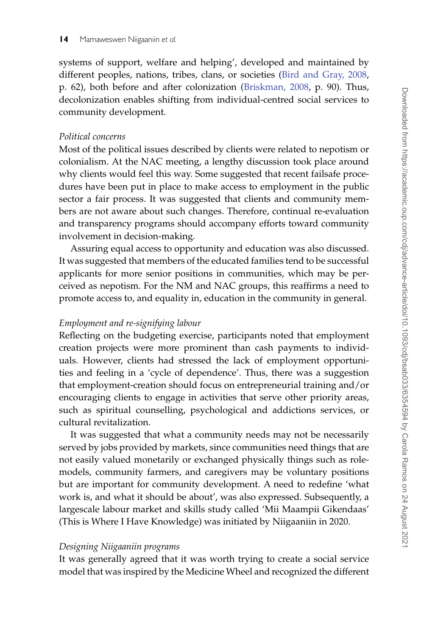systems of support, welfare and helping', developed and maintained by different peoples, nations, tribes, clans, or societies [\(Bird and Gray, 2008,](#page-18-0) p. 62), both before and after colonization [\(Briskman, 2008,](#page-18-1) p. 90). Thus, decolonization enables shifting from individual-centred social services to community development.

#### *Political concerns*

Most of the political issues described by clients were related to nepotism or colonialism. At the NAC meeting, a lengthy discussion took place around why clients would feel this way. Some suggested that recent failsafe procedures have been put in place to make access to employment in the public sector a fair process. It was suggested that clients and community members are not aware about such changes. Therefore, continual re-evaluation and transparency programs should accompany efforts toward community involvement in decision-making.

Assuring equal access to opportunity and education was also discussed. It was suggested that members of the educated families tend to be successful applicants for more senior positions in communities, which may be perceived as nepotism. For the NM and NAC groups, this reaffirms a need to promote access to, and equality in, education in the community in general.

## *Employment and re-signifying labour*

Reflecting on the budgeting exercise, participants noted that employment creation projects were more prominent than cash payments to individuals. However, clients had stressed the lack of employment opportunities and feeling in a 'cycle of dependence'. Thus, there was a suggestion that employment-creation should focus on entrepreneurial training and/or encouraging clients to engage in activities that serve other priority areas, such as spiritual counselling, psychological and addictions services, or cultural revitalization.

It was suggested that what a community needs may not be necessarily served by jobs provided by markets, since communities need things that are not easily valued monetarily or exchanged physically things such as rolemodels, community farmers, and caregivers may be voluntary positions but are important for community development. A need to redefine 'what work is, and what it should be about', was also expressed. Subsequently, a largescale labour market and skills study called 'Mii Maampii Gikendaas' (This is Where I Have Knowledge) was initiated by Niigaaniin in 2020.

#### *Designing Niigaaniin programs*

It was generally agreed that it was worth trying to create a social service model that was inspired by the Medicine Wheel and recognized the different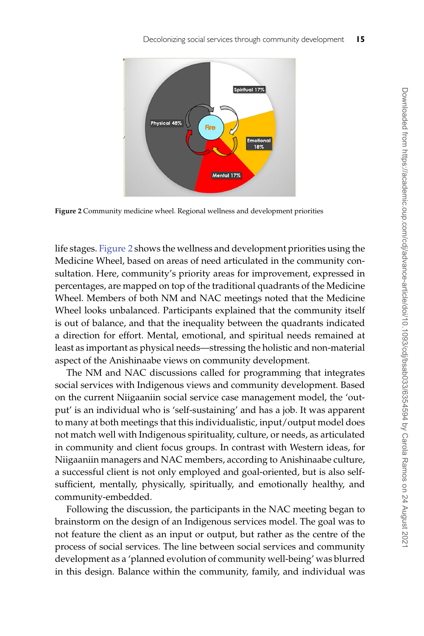

<span id="page-14-0"></span>**Figure 2** Community medicine wheel. Regional wellness and development priorities

life stages. [Figure 2](#page-14-0) shows the wellness and development priorities using the Medicine Wheel, based on areas of need articulated in the community consultation. Here, community's priority areas for improvement, expressed in percentages, are mapped on top of the traditional quadrants of the Medicine Wheel. Members of both NM and NAC meetings noted that the Medicine Wheel looks unbalanced. Participants explained that the community itself is out of balance, and that the inequality between the quadrants indicated a direction for effort. Mental, emotional, and spiritual needs remained at least as important as physical needs—stressing the holistic and non-material aspect of the Anishinaabe views on community development.

The NM and NAC discussions called for programming that integrates social services with Indigenous views and community development. Based on the current Niigaaniin social service case management model, the 'output' is an individual who is 'self-sustaining' and has a job. It was apparent to many at both meetings that this individualistic, input/output model does not match well with Indigenous spirituality, culture, or needs, as articulated in community and client focus groups. In contrast with Western ideas, for Niigaaniin managers and NAC members, according to Anishinaabe culture, a successful client is not only employed and goal-oriented, but is also selfsufficient, mentally, physically, spiritually, and emotionally healthy, and community-embedded.

Following the discussion, the participants in the NAC meeting began to brainstorm on the design of an Indigenous services model. The goal was to not feature the client as an input or output, but rather as the centre of the process of social services. The line between social services and community development as a 'planned evolution of community well-being' was blurred in this design. Balance within the community, family, and individual was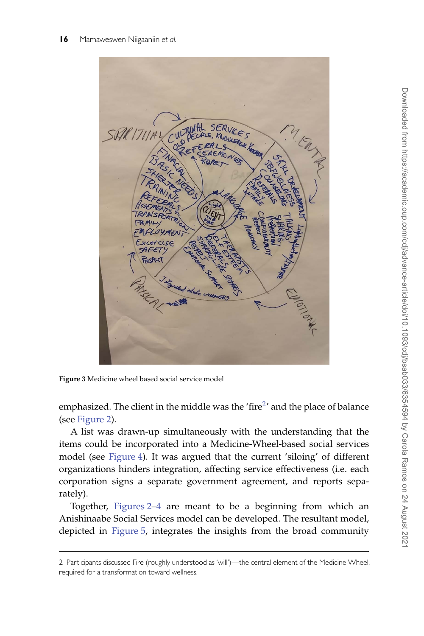

**Figure 3** Medicine wheel based social service model

emphasized. The client in the middle was the 'fire<sup>2</sup>' and the place of balance (see [Figure 2\)](#page-14-0).

A list was drawn-up simultaneously with the understanding that the items could be incorporated into a Medicine-Wheel-based social services model (see [Figure 4\)](#page-16-0). It was argued that the current 'siloing' of different organizations hinders integration, affecting service effectiveness (i.e. each corporation signs a separate government agreement, and reports separately).

Together, [Figures 2](#page-14-0)[–4](#page-16-0) are meant to be a beginning from which an Anishinaabe Social Services model can be developed. The resultant model, depicted in [Figure 5,](#page-17-0) integrates the insights from the broad community

<span id="page-15-0"></span><sup>2</sup> Participants discussed Fire (roughly understood as 'will')—the central element of the Medicine Wheel, required for a transformation toward wellness.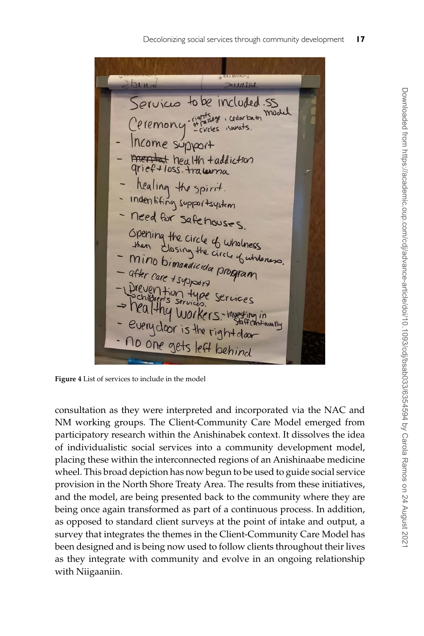bund **LARAGE** Services to be included . SS model rightsage, cedarbath  $-circles$ ncome support mentat health + addiction grief + loss. tracurria healing the spirit. Indentifing supportsystem need for safehouses. Opening the circle of wholness shen Fluxing the circle of wholmess<br>Mino bimandicida propose. Mino bimandicida program after care + support Drevention Services WORKersvery closer is the aff (antinually rightdoor no one gets left behind

<span id="page-16-0"></span>**Figure 4** List of services to include in the model

consultation as they were interpreted and incorporated via the NAC and NM working groups. The Client-Community Care Model emerged from participatory research within the Anishinabek context. It dissolves the idea of individualistic social services into a community development model, placing these within the interconnected regions of an Anishinaabe medicine wheel. This broad depiction has now begun to be used to guide social service provision in the North Shore Treaty Area. The results from these initiatives, and the model, are being presented back to the community where they are being once again transformed as part of a continuous process. In addition, as opposed to standard client surveys at the point of intake and output, a survey that integrates the themes in the Client-Community Care Model has been designed and is being now used to follow clients throughout their lives as they integrate with community and evolve in an ongoing relationship with Niigaaniin.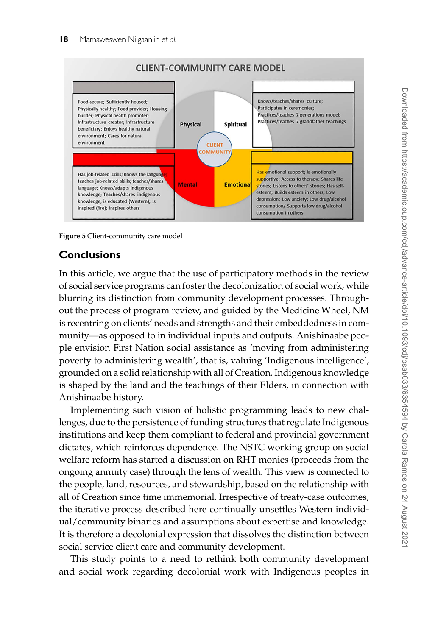

<span id="page-17-0"></span>**Figure 5** Client-community care model

# **Conclusions**

In this article, we argue that the use of participatory methods in the review of social service programs can foster the decolonization of social work, while blurring its distinction from community development processes. Throughout the process of program review, and guided by the Medicine Wheel, NM is recentring on clients' needs and strengths and their embeddedness in community—as opposed to in individual inputs and outputs. Anishinaabe people envision First Nation social assistance as 'moving from administering poverty to administering wealth', that is, valuing 'Indigenous intelligence', grounded on a solid relationship with all of Creation. Indigenous knowledge is shaped by the land and the teachings of their Elders, in connection with Anishinaabe history.

Implementing such vision of holistic programming leads to new challenges, due to the persistence of funding structures that regulate Indigenous institutions and keep them compliant to federal and provincial government dictates, which reinforces dependence. The NSTC working group on social welfare reform has started a discussion on RHT monies (proceeds from the ongoing annuity case) through the lens of wealth. This view is connected to the people, land, resources, and stewardship, based on the relationship with all of Creation since time immemorial. Irrespective of treaty-case outcomes, the iterative process described here continually unsettles Western individual/community binaries and assumptions about expertise and knowledge. It is therefore a decolonial expression that dissolves the distinction between social service client care and community development.

This study points to a need to rethink both community development and social work regarding decolonial work with Indigenous peoples in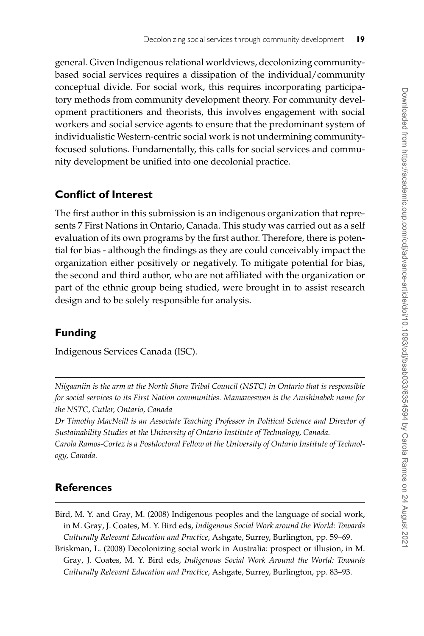general. Given Indigenous relational worldviews, decolonizing communitybased social services requires a dissipation of the individual/community conceptual divide. For social work, this requires incorporating participatory methods from community development theory. For community development practitioners and theorists, this involves engagement with social workers and social service agents to ensure that the predominant system of individualistic Western-centric social work is not undermining communityfocused solutions. Fundamentally, this calls for social services and community development be unified into one decolonial practice.

# **Conflict of Interest**

The first author in this submission is an indigenous organization that represents 7 First Nations in Ontario, Canada. This study was carried out as a self evaluation of its own programs by the first author. Therefore, there is potential for bias - although the findings as they are could conceivably impact the organization either positively or negatively. To mitigate potential for bias, the second and third author, who are not affiliated with the organization or part of the ethnic group being studied, were brought in to assist research design and to be solely responsible for analysis.

# **Funding**

Indigenous Services Canada (ISC).

*Niigaaniin is the arm at the North Shore Tribal Council (NSTC) in Ontario that is responsible for social services to its First Nation communities. Mamaweswen is the Anishinabek name for the NSTC, Cutler, Ontario, Canada*

*Dr Timothy MacNeill is an Associate Teaching Professor in Political Science and Director of Sustainability Studies at the University of Ontario Institute of Technology, Canada.*

*Carola Ramos-Cortez is a Postdoctoral Fellow at the University of Ontario Institute of Technology, Canada.*

# **References**

- <span id="page-18-0"></span>Bird, M. Y. and Gray, M. (2008) Indigenous peoples and the language of social work, in M. Gray, J. Coates, M. Y. Bird eds, *Indigenous Social Work around the World: Towards Culturally Relevant Education and Practice*, Ashgate, Surrey, Burlington, pp. 59–69.
- <span id="page-18-1"></span>Briskman, L. (2008) Decolonizing social work in Australia: prospect or illusion, in M. Gray, J. Coates, M. Y. Bird eds, *Indigenous Social Work Around the World: Towards Culturally Relevant Education and Practice*, Ashgate, Surrey, Burlington, pp. 83–93.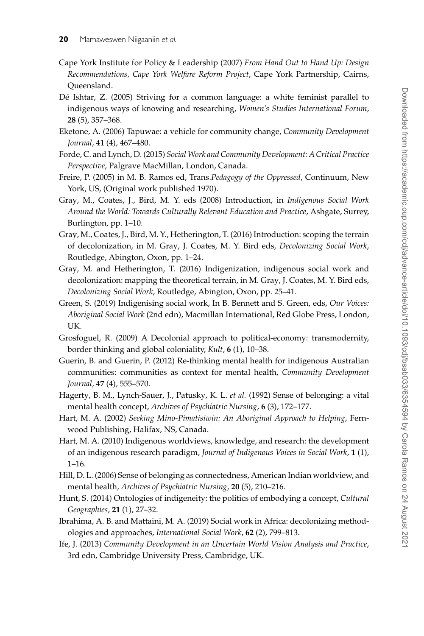- <span id="page-19-11"></span>Cape York Institute for Policy & Leadership (2007) *From Hand Out to Hand Up: Design Recommendations, Cape York Welfare Reform Project*, Cape York Partnership, Cairns, Queensland.
- <span id="page-19-12"></span>Dé Ishtar, Z. (2005) Striving for a common language: a white feminist parallel to indigenous ways of knowing and researching, *Women's Studies International Forum*, **28** (5), 357–368.
- <span id="page-19-10"></span>Eketone, A. (2006) Tapuwae: a vehicle for community change, *Community Development Journal*, **41** (4), 467–480.
- <span id="page-19-7"></span>Forde, C. and Lynch, D. (2015) *Social Work and Community Development: A Critical Practice Perspective*, Palgrave MacMillan, London, Canada.
- <span id="page-19-8"></span>Freire, P. (2005) in M. B. Ramos ed, Trans.*Pedagogy of the Oppressed*, Continuum, New York, US, (Original work published 1970).
- <span id="page-19-3"></span>Gray, M., Coates, J., Bird, M. Y. eds (2008) Introduction, in *Indigenous Social Work Around the World: Towards Culturally Relevant Education and Practice*, Ashgate, Surrey, Burlington, pp. 1–10.
- <span id="page-19-1"></span>Gray, M., Coates, J., Bird, M. Y., Hetherington, T. (2016) Introduction: scoping the terrain of decolonization, in M. Gray, J. Coates, M. Y. Bird eds, *Decolonizing Social Work*, Routledge, Abington, Oxon, pp. 1–24.
- <span id="page-19-4"></span>Gray, M. and Hetherington, T. (2016) Indigenization, indigenous social work and decolonization: mapping the theoretical terrain, in M. Gray, J. Coates, M. Y. Bird eds, *Decolonizing Social Work*, Routledge, Abington, Oxon, pp. 25–41.
- <span id="page-19-2"></span>Green, S. (2019) Indigenising social work, In B. Bennett and S. Green, eds, *Our Voices: Aboriginal Social Work* (2nd edn), Macmillan International, Red Globe Press, London, UK.
- <span id="page-19-9"></span>Grosfoguel, R. (2009) A Decolonial approach to political-economy: transmodernity, border thinking and global coloniality, *Kult*, **6** (1), 10–38.
- <span id="page-19-17"></span>Guerin, B. and Guerin, P. (2012) Re-thinking mental health for indigenous Australian communities: communities as context for mental health, *Community Development Journal*, **47** (4), 555–570.
- <span id="page-19-15"></span>Hagerty, B. M., Lynch-Sauer, J., Patusky, K. L. *et al.* (1992) Sense of belonging: a vital mental health concept, *Archives of Psychiatric Nursing*, **6** (3), 172–177.
- <span id="page-19-0"></span>Hart, M. A. (2002) *Seeking Mino-Pimatisiwin: An Aboriginal Approach to Helping*, Fernwood Publishing, Halifax, NS, Canada.
- <span id="page-19-13"></span>Hart, M. A. (2010) Indigenous worldviews, knowledge, and research: the development of an indigenous research paradigm, *Journal of Indigenous Voices in Social Work*, **1** (1), 1–16.
- <span id="page-19-16"></span>Hill, D. L. (2006) Sense of belonging as connectedness, American Indian worldview, and mental health, *Archives of Psychiatric Nursing*, **20** (5), 210–216.
- <span id="page-19-14"></span>Hunt, S. (2014) Ontologies of indigeneity: the politics of embodying a concept, *Cultural Geographies*, **21** (1), 27–32.
- <span id="page-19-6"></span>Ibrahima, A. B. and Mattaini, M. A. (2019) Social work in Africa: decolonizing methodologies and approaches, *International Social Work*, **62** (2), 799–813.
- <span id="page-19-5"></span>Ife, J. (2013) *Community Development in an Uncertain World Vision Analysis and Practice*, 3rd edn, Cambridge University Press, Cambridge, UK.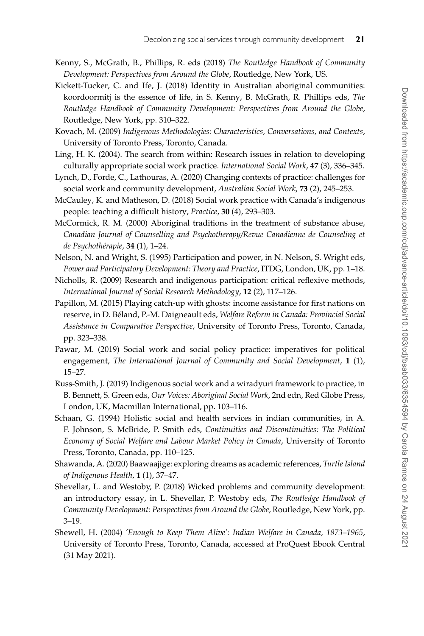- <span id="page-20-1"></span>Kenny, S., McGrath, B., Phillips, R. eds (2018) *The Routledge Handbook of Community Development: Perspectives from Around the Globe*, Routledge, New York, US.
- <span id="page-20-2"></span>Kickett-Tucker, C. and Ife, J. (2018) Identity in Australian aboriginal communities: koordoormitj is the essence of life, in S. Kenny, B. McGrath, R. Phillips eds, *The Routledge Handbook of Community Development: Perspectives from Around the Globe*, Routledge, New York, pp. 310–322.
- <span id="page-20-11"></span>Kovach, M. (2009) *Indigenous Methodologies: Characteristics, Conversations, and Contexts*, University of Toronto Press, Toronto, Canada.
- <span id="page-20-5"></span>Ling, H. K. (2004). The search from within: Research issues in relation to developing culturally appropriate social work practice. *International Social Work*, **47** (3), 336–345.
- Lynch, D., Forde, C., Lathouras, A. (2020) Changing contexts of practice: challenges for social work and community development, *Australian Social Work*, **73** (2), 245–253.
- <span id="page-20-7"></span>McCauley, K. and Matheson, D. (2018) Social work practice with Canada's indigenous people: teaching a difficult history, *Practice*, **30** (4), 293–303.
- <span id="page-20-12"></span>McCormick, R. M. (2000) Aboriginal traditions in the treatment of substance abuse, *Canadian Journal of Counselling and Psychotherapy/Revue Canadienne de Counseling et de Psychothérapie*, **34** (1), 1–24.
- <span id="page-20-4"></span>Nelson, N. and Wright, S. (1995) Participation and power, in N. Nelson, S. Wright eds, *Power and Participatory Development: Theory and Practice*, ITDG, London, UK, pp. 1–18.
- <span id="page-20-10"></span>Nicholls, R. (2009) Research and indigenous participation: critical reflexive methods, *International Journal of Social Research Methodology*, **12** (2), 117–126.
- <span id="page-20-9"></span>Papillon, M. (2015) Playing catch-up with ghosts: income assistance for first nations on reserve, in D. Béland, P.-M. Daigneault eds, *Welfare Reform in Canada: Provincial Social Assistance in Comparative Perspective*, University of Toronto Press, Toronto, Canada, pp. 323–338.
- <span id="page-20-3"></span>Pawar, M. (2019) Social work and social policy practice: imperatives for political engagement, *The International Journal of Community and Social Development*, **1** (1), 15–27.
- <span id="page-20-0"></span>Russ-Smith, J. (2019) Indigenous social work and a wiradyuri framework to practice, in B. Bennett, S. Green eds, *Our Voices: Aboriginal Social Work*, 2nd edn, Red Globe Press, London, UK, Macmillan International, pp. 103–116.
- Schaan, G. (1994) Holistic social and health services in indian communities, in A. F. Johnson, S. McBride, P. Smith eds, *Continuities and Discontinuities: The Political Economy of Social Welfare and Labour Market Policy in Canada*, University of Toronto Press, Toronto, Canada, pp. 110–125.
- <span id="page-20-13"></span>Shawanda, A. (2020) Baawaajige: exploring dreams as academic references, *Turtle Island of Indigenous Health*, **1** (1), 37–47.
- <span id="page-20-6"></span>Shevellar, L. and Westoby, P. (2018) Wicked problems and community development: an introductory essay, in L. Shevellar, P. Westoby eds, *The Routledge Handbook of Community Development: Perspectives from Around the Globe*, Routledge, New York, pp. 3–19.
- <span id="page-20-8"></span>Shewell, H. (2004) *'Enough to Keep Them Alive': Indian Welfare in Canada, 1873–1965*, University of Toronto Press, Toronto, Canada, accessed at ProQuest Ebook Central (31 May 2021).